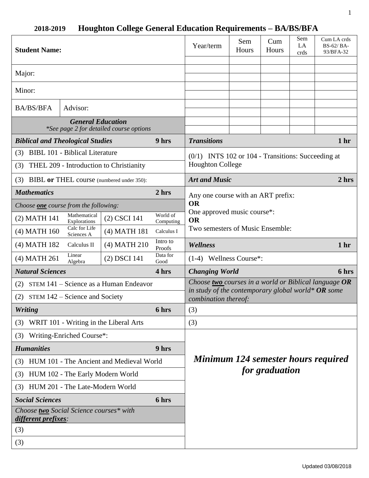| <b>Student Name:</b>                                                |                              |                                        |                                                                                                                                     | Year/term                                                                       | Sem<br>Hours | Cum<br>Hours | Sem<br>LA<br>crds | Cum LA crds<br>BS-62/BA-<br>93/BFA-32 |
|---------------------------------------------------------------------|------------------------------|----------------------------------------|-------------------------------------------------------------------------------------------------------------------------------------|---------------------------------------------------------------------------------|--------------|--------------|-------------------|---------------------------------------|
| Major:                                                              |                              |                                        |                                                                                                                                     |                                                                                 |              |              |                   |                                       |
| Minor:                                                              |                              |                                        |                                                                                                                                     |                                                                                 |              |              |                   |                                       |
| <b>BA/BS/BFA</b><br>Advisor:                                        |                              |                                        |                                                                                                                                     |                                                                                 |              |              |                   |                                       |
| <b>General Education</b><br>*See page 2 for detailed course options |                              |                                        |                                                                                                                                     |                                                                                 |              |              |                   |                                       |
| <b>Biblical and Theological Studies</b>                             |                              |                                        | 9 hrs                                                                                                                               | <b>Transitions</b>                                                              |              |              |                   | 1 <sub>hr</sub>                       |
| (3) BIBL 101 - Biblical Literature                                  |                              |                                        |                                                                                                                                     | $(0/1)$ INTS 102 or 104 - Transitions: Succeeding at<br><b>Houghton College</b> |              |              |                   |                                       |
| (3) THEL 209 - Introduction to Christianity                         |                              |                                        |                                                                                                                                     |                                                                                 |              |              |                   |                                       |
| (3) BIBL or THEL course (numbered under 350):                       |                              |                                        |                                                                                                                                     | <b>Art and Music</b><br>2 hrs                                                   |              |              |                   |                                       |
| <b>Mathematics</b>                                                  |                              |                                        | 2 <sub>hrs</sub>                                                                                                                    | Any one course with an ART prefix:                                              |              |              |                   |                                       |
| Choose one course from the following:                               |                              |                                        |                                                                                                                                     | <b>OR</b>                                                                       |              |              |                   |                                       |
| (2) MATH 141                                                        | Mathematical<br>Explorations | (2) CSCI 141                           | World of<br>Computing                                                                                                               | One approved music course*:<br><b>OR</b>                                        |              |              |                   |                                       |
| $(4)$ MATH 160                                                      | Calc for Life<br>Sciences A  | (4) MATH 181                           | Calculus I                                                                                                                          | Two semesters of Music Ensemble:                                                |              |              |                   |                                       |
| (4) MATH 182                                                        | Calculus II                  | (4) MATH 210                           | Intro to<br>Proofs                                                                                                                  | <b>Wellness</b>                                                                 |              |              |                   | 1 <sub>hr</sub>                       |
| (4) MATH 261                                                        | Linear<br>Algebra            | (2) DSCI 141                           | Data for<br>Good                                                                                                                    | $(1-4)$ Wellness Course <sup>*</sup> :                                          |              |              |                   |                                       |
| <b>Natural Sciences</b><br>4 hrs                                    |                              |                                        |                                                                                                                                     | <b>Changing World</b>                                                           |              |              |                   | 6 hrs                                 |
| STEM 141 – Science as a Human Endeavor<br>(2)                       |                              |                                        | Choose two courses in a world or Biblical language OR<br>in study of the contemporary global world* OR some<br>combination thereof: |                                                                                 |              |              |                   |                                       |
| (2) STEM $142$ – Science and Society                                |                              |                                        |                                                                                                                                     |                                                                                 |              |              |                   |                                       |
| <b>Writing</b>                                                      |                              | 6 hrs                                  | (3)                                                                                                                                 |                                                                                 |              |              |                   |                                       |
| (3)                                                                 |                              | WRIT 101 - Writing in the Liberal Arts |                                                                                                                                     | (3)                                                                             |              |              |                   |                                       |
| (3)                                                                 | Writing-Enriched Course*:    |                                        |                                                                                                                                     |                                                                                 |              |              |                   |                                       |
| <b>Humanities</b><br>9 hrs                                          |                              |                                        |                                                                                                                                     | Minimum 124 semester hours required                                             |              |              |                   |                                       |
| (3) HUM 101 - The Ancient and Medieval World                        |                              |                                        |                                                                                                                                     |                                                                                 |              |              |                   |                                       |
| HUM 102 - The Early Modern World<br>(3)                             |                              |                                        | for graduation                                                                                                                      |                                                                                 |              |              |                   |                                       |
| HUM 201 - The Late-Modern World<br>(3)                              |                              |                                        |                                                                                                                                     |                                                                                 |              |              |                   |                                       |
| <b>Social Sciences</b><br>6 hrs                                     |                              |                                        |                                                                                                                                     |                                                                                 |              |              |                   |                                       |
| Choose two Social Science courses* with<br>different prefixes:      |                              |                                        |                                                                                                                                     |                                                                                 |              |              |                   |                                       |
| (3)                                                                 |                              |                                        |                                                                                                                                     |                                                                                 |              |              |                   |                                       |
| (3)                                                                 |                              |                                        |                                                                                                                                     |                                                                                 |              |              |                   |                                       |

# **2018-2019 Houghton College General Education Requirements – BA/BS/BFA**